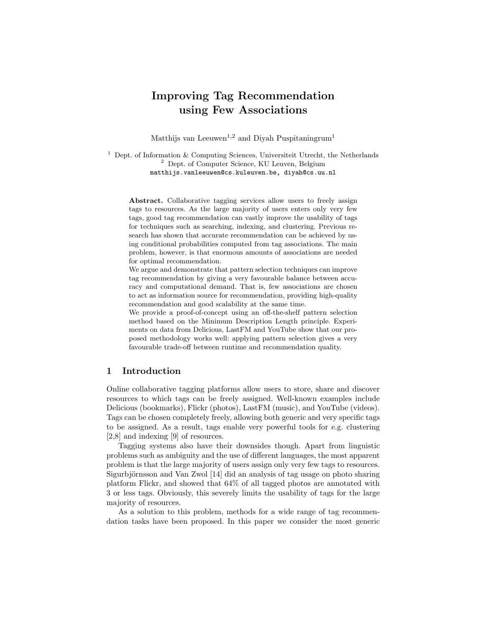# Improving Tag Recommendation using Few Associations

Matthijs van Leeuwen<sup>1,2</sup> and Diyah Puspitaningrum<sup>1</sup>

<sup>1</sup> Dept. of Information  $&$  Computing Sciences, Universiteit Utrecht, the Netherlands <sup>2</sup> Dept. of Computer Science, KU Leuven, Belgium matthijs.vanleeuwen@cs.kuleuven.be, diyah@cs.uu.nl

Abstract. Collaborative tagging services allow users to freely assign tags to resources. As the large majority of users enters only very few tags, good tag recommendation can vastly improve the usability of tags for techniques such as searching, indexing, and clustering. Previous research has shown that accurate recommendation can be achieved by using conditional probabilities computed from tag associations. The main problem, however, is that enormous amounts of associations are needed for optimal recommendation.

We argue and demonstrate that pattern selection techniques can improve tag recommendation by giving a very favourable balance between accuracy and computational demand. That is, few associations are chosen to act as information source for recommendation, providing high-quality recommendation and good scalability at the same time.

We provide a proof-of-concept using an off-the-shelf pattern selection method based on the Minimum Description Length principle. Experiments on data from Delicious, LastFM and YouTube show that our proposed methodology works well: applying pattern selection gives a very favourable trade-off between runtime and recommendation quality.

# 1 Introduction

Online collaborative tagging platforms allow users to store, share and discover resources to which tags can be freely assigned. Well-known examples include Delicious (bookmarks), Flickr (photos), LastFM (music), and YouTube (videos). Tags can be chosen completely freely, allowing both generic and very specific tags to be assigned. As a result, tags enable very powerful tools for e.g. clustering [2,8] and indexing [9] of resources.

Tagging systems also have their downsides though. Apart from linguistic problems such as ambiguity and the use of different languages, the most apparent problem is that the large majority of users assign only very few tags to resources. Sigurbjörnsson and Van Zwol [14] did an analysis of tag usage on photo sharing platform Flickr, and showed that 64% of all tagged photos are annotated with 3 or less tags. Obviously, this severely limits the usability of tags for the large majority of resources.

As a solution to this problem, methods for a wide range of tag recommendation tasks have been proposed. In this paper we consider the most generic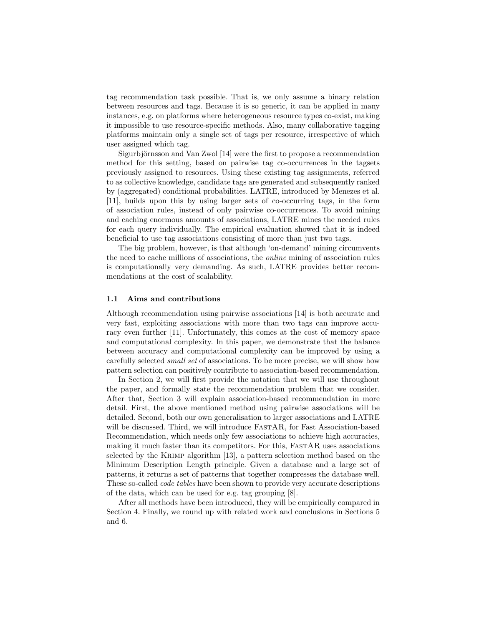tag recommendation task possible. That is, we only assume a binary relation between resources and tags. Because it is so generic, it can be applied in many instances, e.g. on platforms where heterogeneous resource types co-exist, making it impossible to use resource-specific methods. Also, many collaborative tagging platforms maintain only a single set of tags per resource, irrespective of which user assigned which tag.

Sigurbjörnsson and Van Zwol  $[14]$  were the first to propose a recommendation method for this setting, based on pairwise tag co-occurrences in the tagsets previously assigned to resources. Using these existing tag assignments, referred to as collective knowledge, candidate tags are generated and subsequently ranked by (aggregated) conditional probabilities. LATRE, introduced by Menezes et al. [11], builds upon this by using larger sets of co-occurring tags, in the form of association rules, instead of only pairwise co-occurrences. To avoid mining and caching enormous amounts of associations, LATRE mines the needed rules for each query individually. The empirical evaluation showed that it is indeed beneficial to use tag associations consisting of more than just two tags.

The big problem, however, is that although 'on-demand' mining circumvents the need to cache millions of associations, the online mining of association rules is computationally very demanding. As such, LATRE provides better recommendations at the cost of scalability.

## 1.1 Aims and contributions

Although recommendation using pairwise associations [14] is both accurate and very fast, exploiting associations with more than two tags can improve accuracy even further [11]. Unfortunately, this comes at the cost of memory space and computational complexity. In this paper, we demonstrate that the balance between accuracy and computational complexity can be improved by using a carefully selected small set of associations. To be more precise, we will show how pattern selection can positively contribute to association-based recommendation.

In Section 2, we will first provide the notation that we will use throughout the paper, and formally state the recommendation problem that we consider. After that, Section 3 will explain association-based recommendation in more detail. First, the above mentioned method using pairwise associations will be detailed. Second, both our own generalisation to larger associations and LATRE will be discussed. Third, we will introduce FastAR, for Fast Association-based Recommendation, which needs only few associations to achieve high accuracies, making it much faster than its competitors. For this, FASTAR uses associations selected by the Krimp algorithm [13], a pattern selection method based on the Minimum Description Length principle. Given a database and a large set of patterns, it returns a set of patterns that together compresses the database well. These so-called code tables have been shown to provide very accurate descriptions of the data, which can be used for e.g. tag grouping [8].

After all methods have been introduced, they will be empirically compared in Section 4. Finally, we round up with related work and conclusions in Sections 5 and 6.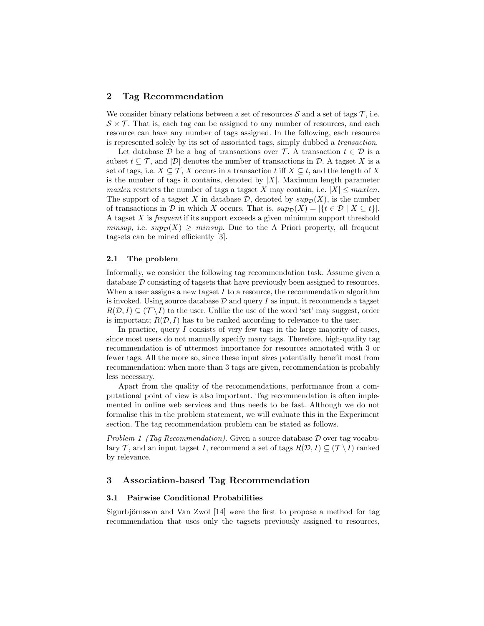## 2 Tag Recommendation

We consider binary relations between a set of resources  $S$  and a set of tags  $\mathcal{T}$ , i.e.  $S \times \mathcal{T}$ . That is, each tag can be assigned to any number of resources, and each resource can have any number of tags assigned. In the following, each resource is represented solely by its set of associated tags, simply dubbed a transaction.

Let database  $D$  be a bag of transactions over  $\mathcal{T}$ . A transaction  $t \in \mathcal{D}$  is a subset  $t \subseteq \mathcal{T}$ , and  $|\mathcal{D}|$  denotes the number of transactions in  $\mathcal{D}$ . A tagset X is a set of tags, i.e.  $X \subseteq \mathcal{T}$ , X occurs in a transaction t iff  $X \subseteq t$ , and the length of X is the number of tags it contains, denoted by  $|X|$ . Maximum length parameter maxlen restricts the number of tags a tagset X may contain, i.e.  $|X| \leq \text{maxlen}$ . The support of a tagset X in database  $\mathcal{D}$ , denoted by  $sup_{\mathcal{D}}(X)$ , is the number of transactions in  $D$  in which X occurs. That is,  $sup_{\mathcal{D}}(X) = |\{t \in D \mid X \subseteq t\}|.$ A tagset  $X$  is *frequent* if its support exceeds a given minimum support threshold minsup, i.e.  $sup_{\mathcal{D}}(X) \geq minsup$ . Due to the A Priori property, all frequent tagsets can be mined efficiently [3].

## 2.1 The problem

Informally, we consider the following tag recommendation task. Assume given a database  $\mathcal D$  consisting of tagsets that have previously been assigned to resources. When a user assigns a new tagset  $I$  to a resource, the recommendation algorithm is invoked. Using source database  $\mathcal D$  and query I as input, it recommends a tagset  $R(\mathcal{D}, I) \subset (\mathcal{T} \setminus I)$  to the user. Unlike the use of the word 'set' may suggest, order is important;  $R(\mathcal{D}, I)$  has to be ranked according to relevance to the user.

In practice, query  $I$  consists of very few tags in the large majority of cases, since most users do not manually specify many tags. Therefore, high-quality tag recommendation is of uttermost importance for resources annotated with 3 or fewer tags. All the more so, since these input sizes potentially benefit most from recommendation: when more than 3 tags are given, recommendation is probably less necessary.

Apart from the quality of the recommendations, performance from a computational point of view is also important. Tag recommendation is often implemented in online web services and thus needs to be fast. Although we do not formalise this in the problem statement, we will evaluate this in the Experiment section. The tag recommendation problem can be stated as follows.

Problem 1 (Tag Recommendation). Given a source database  $D$  over tag vocabulary T, and an input tagset I, recommend a set of tags  $R(\mathcal{D}, I) \subseteq (\mathcal{T} \setminus I)$  ranked by relevance.

# 3 Association-based Tag Recommendation

## 3.1 Pairwise Conditional Probabilities

Sigurbjörnsson and Van Zwol  $[14]$  were the first to propose a method for tag recommendation that uses only the tagsets previously assigned to resources,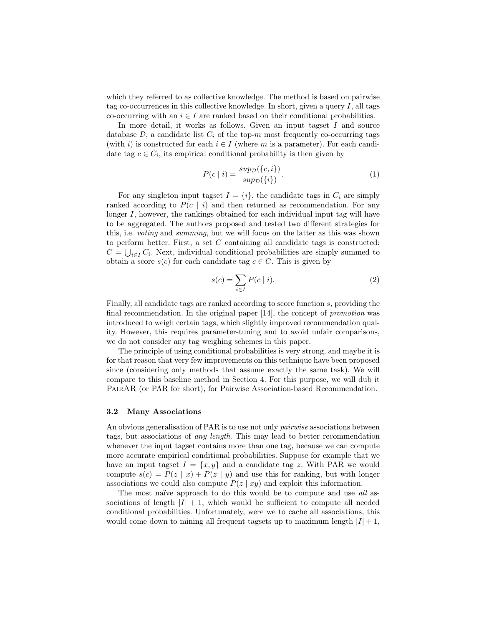which they referred to as collective knowledge. The method is based on pairwise tag co-occurrences in this collective knowledge. In short, given a query  $I$ , all tags co-occurring with an  $i \in I$  are ranked based on their conditional probabilities.

In more detail, it works as follows. Given an input tagset  $I$  and source database  $D$ , a candidate list  $C_i$  of the top-m most frequently co-occurring tags (with i) is constructed for each  $i \in I$  (where m is a parameter). For each candidate tag  $c \in C_i$ , its empirical conditional probability is then given by

$$
P(c \mid i) = \frac{\sup_{\mathcal{D}}(\{c, i\})}{\sup_{\mathcal{D}}(\{i\})}.
$$
 (1)

For any singleton input tagset  $I = \{i\}$ , the candidate tags in  $C_i$  are simply ranked according to  $P(c \mid i)$  and then returned as recommendation. For any longer I, however, the rankings obtained for each individual input tag will have to be aggregated. The authors proposed and tested two different strategies for this, i.e. voting and summing, but we will focus on the latter as this was shown to perform better. First, a set  $C$  containing all candidate tags is constructed:  $C = \bigcup_{i \in I} C_i$ . Next, individual conditional probabilities are simply summed to obtain a score  $s(c)$  for each candidate tag  $c \in C$ . This is given by

$$
s(c) = \sum_{i \in I} P(c \mid i). \tag{2}
$$

Finally, all candidate tags are ranked according to score function s, providing the final recommendation. In the original paper [14], the concept of promotion was introduced to weigh certain tags, which slightly improved recommendation quality. However, this requires parameter-tuning and to avoid unfair comparisons, we do not consider any tag weighing schemes in this paper.

The principle of using conditional probabilities is very strong, and maybe it is for that reason that very few improvements on this technique have been proposed since (considering only methods that assume exactly the same task). We will compare to this baseline method in Section 4. For this purpose, we will dub it PairAR (or PAR for short), for Pairwise Association-based Recommendation.

#### 3.2 Many Associations

An obvious generalisation of PAR is to use not only pairwise associations between tags, but associations of any length. This may lead to better recommendation whenever the input tagset contains more than one tag, because we can compute more accurate empirical conditional probabilities. Suppose for example that we have an input tagset  $I = \{x, y\}$  and a candidate tag z. With PAR we would compute  $s(c) = P(z | x) + P(z | y)$  and use this for ranking, but with longer associations we could also compute  $P(z | xy)$  and exploit this information.

The most naïve approach to do this would be to compute and use all associations of length  $|I| + 1$ , which would be sufficient to compute all needed conditional probabilities. Unfortunately, were we to cache all associations, this would come down to mining all frequent tagsets up to maximum length  $|I|+1$ ,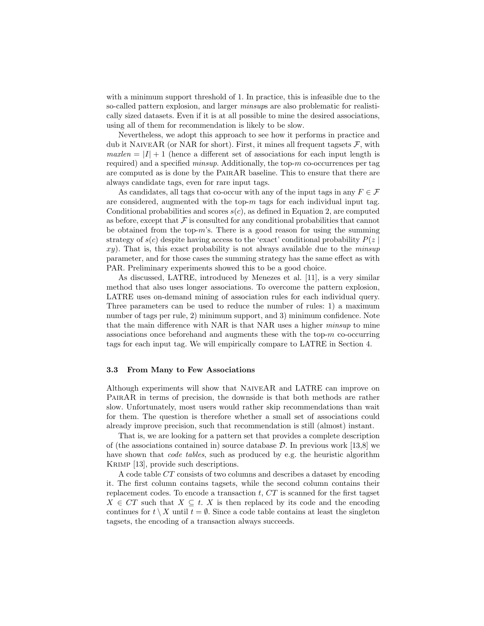with a minimum support threshold of 1. In practice, this is infeasible due to the so-called pattern explosion, and larger minsups are also problematic for realistically sized datasets. Even if it is at all possible to mine the desired associations, using all of them for recommendation is likely to be slow.

Nevertheless, we adopt this approach to see how it performs in practice and dub it NAIVEAR (or NAR for short). First, it mines all frequent tagsets  $\mathcal{F}$ , with  $\textit{maxlen} = |I| + 1$  (hence a different set of associations for each input length is required) and a specified *minsup*. Additionally, the top- $m$  co-occurrences per tag are computed as is done by the PairAR baseline. This to ensure that there are always candidate tags, even for rare input tags.

As candidates, all tags that co-occur with any of the input tags in any  $F \in \mathcal{F}$ are considered, augmented with the top- $m$  tags for each individual input tag. Conditional probabilities and scores  $s(c)$ , as defined in Equation 2, are computed as before, except that  $\mathcal F$  is consulted for any conditional probabilities that cannot be obtained from the top- $m$ 's. There is a good reason for using the summing strategy of  $s(c)$  despite having access to the 'exact' conditional probability  $P(z)$  $xy$ ). That is, this exact probability is not always available due to the *minsup* parameter, and for those cases the summing strategy has the same effect as with PAR. Preliminary experiments showed this to be a good choice.

As discussed, LATRE, introduced by Menezes et al. [11], is a very similar method that also uses longer associations. To overcome the pattern explosion, LATRE uses on-demand mining of association rules for each individual query. Three parameters can be used to reduce the number of rules: 1) a maximum number of tags per rule, 2) minimum support, and 3) minimum confidence. Note that the main difference with NAR is that NAR uses a higher minsup to mine associations once beforehand and augments these with the top- $m$  co-occurring tags for each input tag. We will empirically compare to LATRE in Section 4.

#### 3.3 From Many to Few Associations

Although experiments will show that NaiveAR and LATRE can improve on PairAR in terms of precision, the downside is that both methods are rather slow. Unfortunately, most users would rather skip recommendations than wait for them. The question is therefore whether a small set of associations could already improve precision, such that recommendation is still (almost) instant.

That is, we are looking for a pattern set that provides a complete description of (the associations contained in) source database  $\mathcal{D}$ . In previous work [13,8] we have shown that *code tables*, such as produced by e.g. the heuristic algorithm Krimp [13], provide such descriptions.

A code table CT consists of two columns and describes a dataset by encoding it. The first column contains tagsets, while the second column contains their replacement codes. To encode a transaction  $t$ ,  $CT$  is scanned for the first tagset  $X \in \mathbb{C}T$  such that  $X \subseteq t$ . X is then replaced by its code and the encoding continues for  $t \setminus X$  until  $t = \emptyset$ . Since a code table contains at least the singleton tagsets, the encoding of a transaction always succeeds.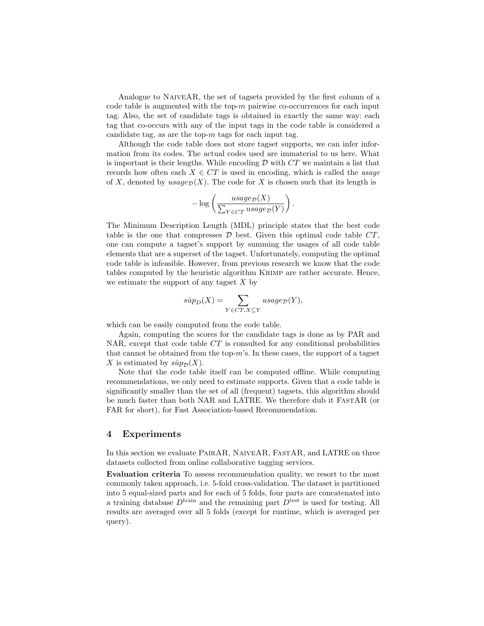Analogue to NaiveAR, the set of tagsets provided by the first column of a code table is augmented with the top- $m$  pairwise co-occurrences for each input tag. Also, the set of candidate tags is obtained in exactly the same way: each tag that co-occurs with any of the input tags in the code table is considered a candidate tag, as are the top- $m$  tags for each input tag.

Although the code table does not store tagset supports, we can infer information from its codes. The actual codes used are immaterial to us here. What is important is their lengths. While encoding  $\mathcal D$  with  $CT$  we maintain a list that records how often each  $X \in \mathbb{C}T$  is used in encoding, which is called the usage of X, denoted by  $usage_{\mathcal{D}}(X)$ . The code for X is chosen such that its length is

$$
-\log\left(\frac{usage_{\mathcal{D}}(X)}{\sum_{Y \in CT} usage_{\mathcal{D}}(Y)}\right).
$$

The Minimum Description Length (MDL) principle states that the best code table is the one that compresses  $\mathcal D$  best. Given this optimal code table  $CT$ , one can compute a tagset's support by summing the usages of all code table elements that are a superset of the tagset. Unfortunately, computing the optimal code table is infeasible. However, from previous research we know that the code tables computed by the heuristic algorithm Krimp are rather accurate. Hence, we estimate the support of any tagset  $X$  by

$$
\hat{sup}_D(X) = \sum_{Y \in CT, X \subseteq Y} usage_{\mathcal{D}}(Y),
$$

which can be easily computed from the code table.

Again, computing the scores for the candidate tags is done as by PAR and NAR, except that code table CT is consulted for any conditional probabilities that cannot be obtained from the top- $m$ 's. In these cases, the support of a tagset X is estimated by  $\hat{sup}_{\mathcal{D}}(X)$ .

Note that the code table itself can be computed offline. While computing recommendations, we only need to estimate supports. Given that a code table is significantly smaller than the set of all (frequent) tagsets, this algorithm should be much faster than both NAR and LATRE. We therefore dub it FastAR (or FAR for short), for Fast Association-based Recommendation.

# 4 Experiments

In this section we evaluate PairAR, NaiveAR, FastAR, and LATRE on three datasets collected from online collaborative tagging services.

Evaluation criteria To assess recommendation quality, we resort to the most commonly taken approach, i.e. 5-fold cross-validation. The dataset is partitioned into 5 equal-sized parts and for each of 5 folds, four parts are concatenated into a training database  $D<sup>train</sup>$  and the remaining part  $D<sup>test</sup>$  is used for testing. All results are averaged over all 5 folds (except for runtime, which is averaged per query).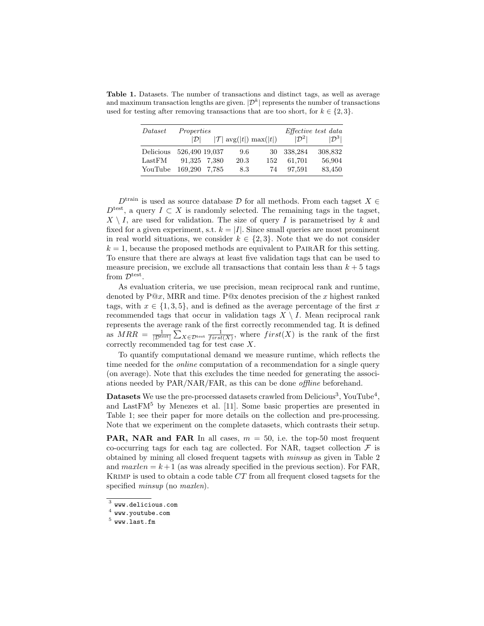Table 1. Datasets. The number of transactions and distinct tags, as well as average and maximum transaction lengths are given.  $|\mathcal{D}^k|$  represents the number of transactions used for testing after removing transactions that are too short, for  $k \in \{2,3\}$ .

| Dataset   | Properties      |      |                                   |                   | Effective test data |
|-----------|-----------------|------|-----------------------------------|-------------------|---------------------|
|           | $ \mathcal{D} $ |      | $ \mathcal{T} $ avg( t ) max( t ) | $ \mathcal{D}^2 $ | $ \mathcal{D}^3 $   |
| Delicious | 526,490 19,037  | 9.6  | 30                                | 338,284           | 308,832             |
| LastFM    | 91,325 7,380    | 20.3 | 152                               | 61.701            | 56,904              |
| YouTube   | 169,290 7.785   | 8.3  | 74                                | 97.591            | 83,450              |

 $D<sup>train</sup>$  is used as source database  $D$  for all methods. From each tagset  $X \in$  $D<sup>test</sup>$ , a query  $I \subset X$  is randomly selected. The remaining tags in the tagset,  $X \setminus I$ , are used for validation. The size of query I is parametrised by k and fixed for a given experiment, s.t.  $k = |I|$ . Since small queries are most prominent in real world situations, we consider  $k \in \{2,3\}$ . Note that we do not consider  $k = 1$ , because the proposed methods are equivalent to PAIRAR for this setting. To ensure that there are always at least five validation tags that can be used to measure precision, we exclude all transactions that contain less than  $k + 5$  tags from  $\mathcal{D}^{\text{test}}$ .

As evaluation criteria, we use precision, mean reciprocal rank and runtime, denoted by  $P@x$ , MRR and time.  $P@x$  denotes precision of the x highest ranked tags, with  $x \in \{1, 3, 5\}$ , and is defined as the average percentage of the first x recommended tags that occur in validation tags  $X \setminus I$ . Mean reciprocal rank represents the average rank of the first correctly recommended tag. It is defined as  $MRR = \frac{1}{|{\mathcal{D}^\text{test}}|} \sum_{X \in {\mathcal{D}^\text{test}}} \frac{1}{first(X)}$ , where  $first(X)$  is the rank of the first correctly recommended tag for test case X.

To quantify computational demand we measure runtime, which reflects the time needed for the *online* computation of a recommendation for a single query (on average). Note that this excludes the time needed for generating the associations needed by  $PAR/NAR/FAR$ , as this can be done *offline* beforehand.

Datasets We use the pre-processed datasets crawled from Delicious<sup>3</sup>, YouTube<sup>4</sup>, and LastFM<sup>5</sup> by Menezes et al. [11]. Some basic properties are presented in Table 1; see their paper for more details on the collection and pre-processing. Note that we experiment on the complete datasets, which contrasts their setup.

**PAR, NAR and FAR** In all cases,  $m = 50$ , i.e. the top-50 most frequent co-occurring tags for each tag are collected. For NAR, tagset collection  $\mathcal F$  is obtained by mining all closed frequent tagsets with minsup as given in Table 2 and  $maxlen = k + 1$  (as was already specified in the previous section). For FAR, KRIMP is used to obtain a code table  $CT$  from all frequent closed tagsets for the specified *minsup* (no *maxlen*).

 $^3$  www.delicious.com

 $^4$  www.youtube.com

 $^5$  www.last.fm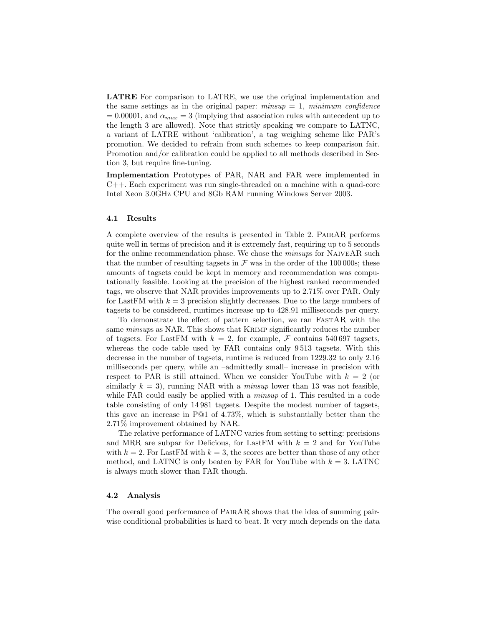LATRE For comparison to LATRE, we use the original implementation and the same settings as in the original paper:  $minsup = 1$ ,  $minimum$  confidence  $= 0.00001$ , and  $\alpha_{max} = 3$  (implying that association rules with antecedent up to the length 3 are allowed). Note that strictly speaking we compare to LATNC, a variant of LATRE without 'calibration', a tag weighing scheme like PAR's promotion. We decided to refrain from such schemes to keep comparison fair. Promotion and/or calibration could be applied to all methods described in Section 3, but require fine-tuning.

Implementation Prototypes of PAR, NAR and FAR were implemented in C++. Each experiment was run single-threaded on a machine with a quad-core Intel Xeon 3.0GHz CPU and 8Gb RAM running Windows Server 2003.

#### 4.1 Results

A complete overview of the results is presented in Table 2. PairAR performs quite well in terms of precision and it is extremely fast, requiring up to 5 seconds for the online recommendation phase. We chose the *minsups* for NAIVEAR such that the number of resulting tagsets in  $\mathcal F$  was in the order of the 100 000s; these amounts of tagsets could be kept in memory and recommendation was computationally feasible. Looking at the precision of the highest ranked recommended tags, we observe that NAR provides improvements up to 2.71% over PAR. Only for LastFM with  $k = 3$  precision slightly decreases. Due to the large numbers of tagsets to be considered, runtimes increase up to 428.91 milliseconds per query.

To demonstrate the effect of pattern selection, we ran FastAR with the same *minsups* as NAR. This shows that KRIMP significantly reduces the number of tagsets. For LastFM with  $k = 2$ , for example, F contains 540 697 tagsets, whereas the code table used by FAR contains only 9 513 tagsets. With this decrease in the number of tagsets, runtime is reduced from 1229.32 to only 2.16 milliseconds per query, while an –admittedly small– increase in precision with respect to PAR is still attained. When we consider YouTube with  $k = 2$  (or similarly  $k = 3$ , running NAR with a *minsup* lower than 13 was not feasible, while FAR could easily be applied with a *minsup* of 1. This resulted in a code table consisting of only 14 981 tagsets. Despite the modest number of tagsets, this gave an increase in P@1 of 4.73%, which is substantially better than the 2.71% improvement obtained by NAR.

The relative performance of LATNC varies from setting to setting: precisions and MRR are subpar for Delicious, for LastFM with  $k = 2$  and for YouTube with  $k = 2$ . For LastFM with  $k = 3$ , the scores are better than those of any other method, and LATNC is only beaten by FAR for YouTube with  $k = 3$ . LATNC is always much slower than FAR though.

## 4.2 Analysis

The overall good performance of PairAR shows that the idea of summing pairwise conditional probabilities is hard to beat. It very much depends on the data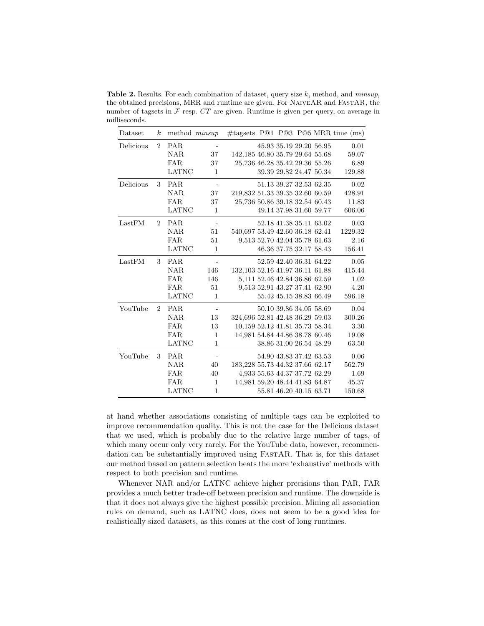| <b>Table 2.</b> Results. For each combination of dataset, query size $k$ , method, and <i>minsup</i> , |  |
|--------------------------------------------------------------------------------------------------------|--|
| the obtained precisions, MRR and runtime are given. For NAIVEAR and FASTAR, the                        |  |
| number of tagsets in F resp. CT are given. Runtime is given per query, on average in                   |  |
| milliseconds.                                                                                          |  |

| Dataset   | $\boldsymbol{k}$ | method minsup |                              |                                 |  |                               | #tagsets P@1 P@3 P@5 MRR time (ms) |
|-----------|------------------|---------------|------------------------------|---------------------------------|--|-------------------------------|------------------------------------|
| Delicious | $\overline{2}$   | <b>PAR</b>    |                              |                                 |  | 45.93 35.19 29.20 56.95       | 0.01                               |
|           |                  | <b>NAR</b>    | 37                           | 142,185 46.80 35.79 29.64 55.68 |  |                               | 59.07                              |
|           |                  | <b>FAR</b>    | 37                           | 25,736 46.28 35.42 29.36 55.26  |  |                               | 6.89                               |
|           |                  | <b>LATNC</b>  | $\mathbf{1}$                 |                                 |  | 39.39 29.82 24.47 50.34       | 129.88                             |
| Delicious | 3                | PAR.          | $\qquad \qquad \blacksquare$ |                                 |  | 51.13 39.27 32.53 62.35       | 0.02                               |
|           |                  | <b>NAR</b>    | 37                           | 219,832 51.33 39.35 32.60 60.59 |  |                               | 428.91                             |
|           |                  | FAR.          | 37                           | 25,736 50.86 39.18 32.54 60.43  |  |                               | 11.83                              |
|           |                  | <b>LATNC</b>  | $\mathbf{1}$                 |                                 |  | 49.14 37.98 31.60 59.77       | 606.06                             |
| LastFM    | $\overline{2}$   | <b>PAR</b>    | $\overline{a}$               |                                 |  | 52.18 41.38 35.11 63.02       | 0.03                               |
|           |                  | <b>NAR</b>    | 51                           | 540,697 53.49 42.60 36.18 62.41 |  |                               | 1229.32                            |
|           |                  | <b>FAR</b>    | 51                           |                                 |  | 9,513 52.70 42.04 35.78 61.63 | 2.16                               |
|           |                  | <b>LATNC</b>  | $\mathbf{1}$                 |                                 |  | 46.36 37.75 32.17 58.43       | 156.41                             |
| LastFM    | 3                | <b>PAR</b>    | -                            |                                 |  | 52.59 42.40 36.31 64.22       | 0.05                               |
|           |                  | <b>NAR</b>    | 146                          | 132,103 52.16 41.97 36.11 61.88 |  |                               | 415.44                             |
|           |                  | <b>FAR</b>    | 146                          |                                 |  | 5,111 52.46 42.84 36.86 62.59 | 1.02                               |
|           |                  | <b>FAR</b>    | 51                           |                                 |  | 9,513 52.91 43.27 37.41 62.90 | 4.20                               |
|           |                  | <b>LATNC</b>  | $\mathbf{1}$                 |                                 |  | 55.42 45.15 38.83 66.49       | 596.18                             |
| YouTube   | $\overline{2}$   | <b>PAR</b>    | $\overline{\phantom{a}}$     |                                 |  | 50.10 39.86 34.05 58.69       | 0.04                               |
|           |                  | <b>NAR</b>    | 13                           | 324,696 52.81 42.48 36.29 59.03 |  |                               | 300.26                             |
|           |                  | <b>FAR</b>    | 13                           | 10,159 52.12 41.81 35.73 58.34  |  |                               | 3.30                               |
|           |                  | FAR.          | $\mathbf{1}$                 | 14,981 54.84 44.86 38.78 60.46  |  |                               | 19.08                              |
|           |                  | <b>LATNC</b>  | $\mathbf{1}$                 |                                 |  | 38.86 31.00 26.54 48.29       | 63.50                              |
| YouTube   | 3                | <b>PAR</b>    | $\overline{\phantom{a}}$     |                                 |  | 54.90 43.83 37.42 63.53       | 0.06                               |
|           |                  | <b>NAR</b>    | 40                           | 183,228 55.73 44.32 37.66 62.17 |  |                               | 562.79                             |
|           |                  | <b>FAR</b>    | 40                           |                                 |  | 4,933 55.63 44.37 37.72 62.29 | 1.69                               |
|           |                  | ${\rm FAR}$   | $\mathbf{1}$                 | 14,981 59.20 48.44 41.83 64.87  |  |                               | 45.37                              |
|           |                  | <b>LATNC</b>  | 1                            |                                 |  | 55.81 46.20 40.15 63.71       | 150.68                             |

at hand whether associations consisting of multiple tags can be exploited to improve recommendation quality. This is not the case for the Delicious dataset that we used, which is probably due to the relative large number of tags, of which many occur only very rarely. For the YouTube data, however, recommendation can be substantially improved using FASTAR. That is, for this dataset our method based on pattern selection beats the more 'exhaustive' methods with respect to both precision and runtime.

Whenever NAR and/or LATNC achieve higher precisions than PAR, FAR provides a much better trade-off between precision and runtime. The downside is that it does not always give the highest possible precision. Mining all association rules on demand, such as LATNC does, does not seem to be a good idea for realistically sized datasets, as this comes at the cost of long runtimes.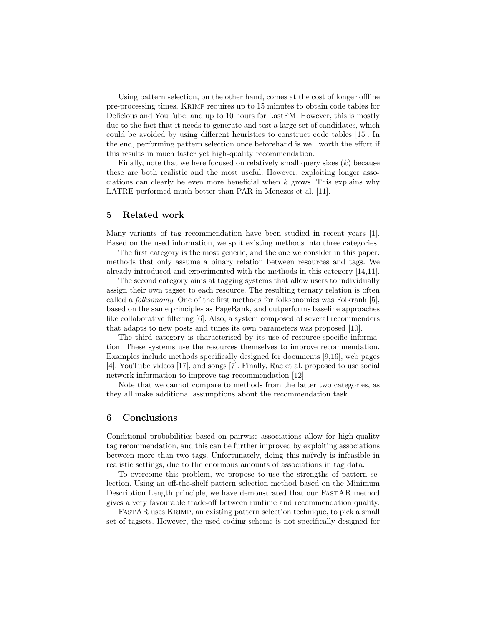Using pattern selection, on the other hand, comes at the cost of longer offline pre-processing times. Krimp requires up to 15 minutes to obtain code tables for Delicious and YouTube, and up to 10 hours for LastFM. However, this is mostly due to the fact that it needs to generate and test a large set of candidates, which could be avoided by using different heuristics to construct code tables [15]. In the end, performing pattern selection once beforehand is well worth the effort if this results in much faster yet high-quality recommendation.

Finally, note that we here focused on relatively small query sizes  $(k)$  because these are both realistic and the most useful. However, exploiting longer associations can clearly be even more beneficial when  $k$  grows. This explains why LATRE performed much better than PAR in Menezes et al. [11].

# 5 Related work

Many variants of tag recommendation have been studied in recent years [1]. Based on the used information, we split existing methods into three categories.

The first category is the most generic, and the one we consider in this paper: methods that only assume a binary relation between resources and tags. We already introduced and experimented with the methods in this category [14,11].

The second category aims at tagging systems that allow users to individually assign their own tagset to each resource. The resulting ternary relation is often called a folksonomy. One of the first methods for folksonomies was Folkrank [5], based on the same principles as PageRank, and outperforms baseline approaches like collaborative filtering [6]. Also, a system composed of several recommenders that adapts to new posts and tunes its own parameters was proposed [10].

The third category is characterised by its use of resource-specific information. These systems use the resources themselves to improve recommendation. Examples include methods specifically designed for documents [9,16], web pages [4], YouTube videos [17], and songs [7]. Finally, Rae et al. proposed to use social network information to improve tag recommendation [12].

Note that we cannot compare to methods from the latter two categories, as they all make additional assumptions about the recommendation task.

# 6 Conclusions

Conditional probabilities based on pairwise associations allow for high-quality tag recommendation, and this can be further improved by exploiting associations between more than two tags. Unfortunately, doing this na¨ıvely is infeasible in realistic settings, due to the enormous amounts of associations in tag data.

To overcome this problem, we propose to use the strengths of pattern selection. Using an off-the-shelf pattern selection method based on the Minimum Description Length principle, we have demonstrated that our FastAR method gives a very favourable trade-off between runtime and recommendation quality.

FastAR uses Krimp, an existing pattern selection technique, to pick a small set of tagsets. However, the used coding scheme is not specifically designed for